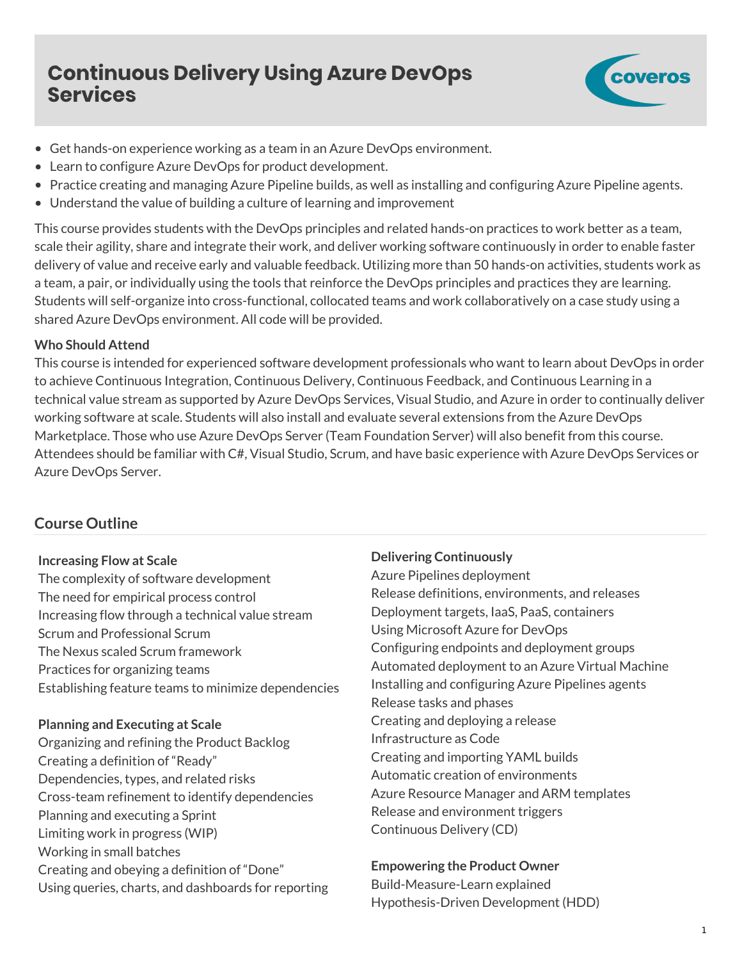# **Continuous Delivery Using Azure DevOps Services**



- Get hands-on experience working as a team in an Azure DevOps environment.
- Learn to configure Azure DevOps for product development.
- Practice creating and managing Azure Pipeline builds, as well as installing and configuring Azure Pipeline agents.
- Understand the value of building a culture of learning and improvement

This course provides students with the DevOps principles and related hands-on practices to work better as a team, scale their agility, share and integrate their work, and deliver working software continuously in order to enable faster delivery of value and receive early and valuable feedback. Utilizing more than 50 hands-on activities, students work as a team, a pair, or individually using the tools that reinforce the DevOps principles and practices they are learning. Students will self-organize into cross-functional, collocated teams and work collaboratively on a case study using a shared Azure DevOps environment. All code will be provided.

### **Who Should Attend**

This course is intended for experienced software development professionals who want to learn about DevOps in order to achieve Continuous Integration, Continuous Delivery, Continuous Feedback, and Continuous Learning in a technical value stream as supported by Azure DevOps Services, Visual Studio, and Azure in order to continually deliver working software at scale. Students will also install and evaluate several extensions from the Azure DevOps Marketplace. Those who use Azure DevOps Server (Team Foundation Server) will also benefit from this course. Attendees should be familiar with C#, Visual Studio, Scrum, and have basic experience with Azure DevOps Services or Azure DevOps Server.

# **Course Outline**

#### **Increasing Flow at Scale**

The complexity of software development The need for empirical process control Increasing flow through a technical value stream Scrum and Professional Scrum The Nexus scaled Scrum framework Practices for organizing teams Establishing feature teams to minimize dependencies

#### **Planning and Executing at Scale**

Organizing and refining the Product Backlog Creating a definition of "Ready" Dependencies, types, and related risks Cross-team refinement to identify dependencies Planning and executing a Sprint Limiting work in progress (WIP) Working in small batches Creating and obeying a definition of "Done" Using queries, charts, and dashboards for reporting

## **Delivering Continuously**

Azure Pipelines deployment Release definitions, environments, and releases Deployment targets, IaaS, PaaS, containers Using Microsoft Azure for DevOps Configuring endpoints and deployment groups Automated deployment to an Azure Virtual Machine Installing and configuring Azure Pipelines agents Release tasks and phases Creating and deploying a release Infrastructure as Code Creating and importing YAML builds Automatic creation of environments Azure Resource Manager and ARM templates Release and environment triggers Continuous Delivery (CD)

# **Empowering the Product Owner**

Build-Measure-Learn explained Hypothesis-Driven Development (HDD)